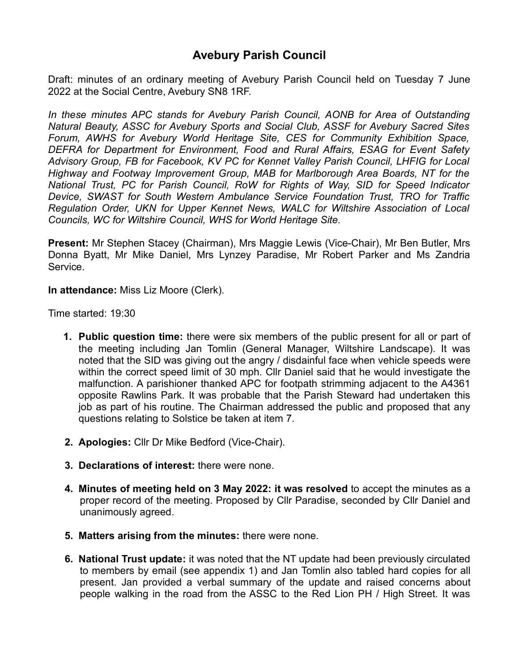Draft: minutes of an ordinary meeting of Avebury Parish Council held on Tuesday 7 June 2022 at the Social Centre, Avebury SN8 1RF.

*In these minutes APC stands for Avebury Parish Council, AONB for Area of Outstanding Natural Beauty, ASSC for Avebury Sports and Social Club, ASSF for Avebury Sacred Sites Forum, AWHS for Avebury World Heritage Site, CES for Community Exhibition Space, DEFRA for Department for Environment, Food and Rural Affairs, ESAG for Event Safety Advisory Group, FB for Facebook, KV PC for Kennet Valley Parish Council, LHFIG for Local Highway and Footway Improvement Group, MAB for Marlborough Area Boards, NT for the National Trust, PC for Parish Council, RoW for Rights of Way, SID for Speed Indicator Device, SWAST for South Western Ambulance Service Foundation Trust, TRO for Traffic Regulation Order, UKN for Upper Kennet News, WALC for Wiltshire Association of Local Councils, WC for Wiltshire Council, WHS for World Heritage Site.*

**Present:** Mr Stephen Stacey (Chairman), Mrs Maggie Lewis (Vice-Chair), Mr Ben Butler, Mrs Donna Byatt, Mr Mike Daniel, Mrs Lynzey Paradise, Mr Robert Parker and Ms Zandria Service.

**In attendance:** Miss Liz Moore (Clerk).

Time started: 19:30

- **1. Public question time:** there were six members of the public present for all or part of the meeting including Jan Tomlin (General Manager, Wiltshire Landscape). It was noted that the SID was giving out the angry / disdainful face when vehicle speeds were within the correct speed limit of 30 mph. Cllr Daniel said that he would investigate the malfunction. A parishioner thanked APC for footpath strimming adjacent to the A4361 opposite Rawlins Park. It was probable that the Parish Steward had undertaken this job as part of his routine. The Chairman addressed the public and proposed that any questions relating to Solstice be taken at item 7.
- **2. Apologies:** Cllr Dr Mike Bedford (Vice-Chair).
- **3. Declarations of interest:** there were none.
- **4. Minutes of meeting held on 3 May 2022: it was resolved** to accept the minutes as a proper record of the meeting. Proposed by Cllr Paradise, seconded by Cllr Daniel and unanimously agreed.
- **5. Matters arising from the minutes:** there were none.
- **6. National Trust update:** it was noted that the NT update had been previously circulated to members by email (see appendix 1) and Jan Tomlin also tabled hard copies for all present. Jan provided a verbal summary of the update and raised concerns about people walking in the road from the ASSC to the Red Lion PH / High Street. It was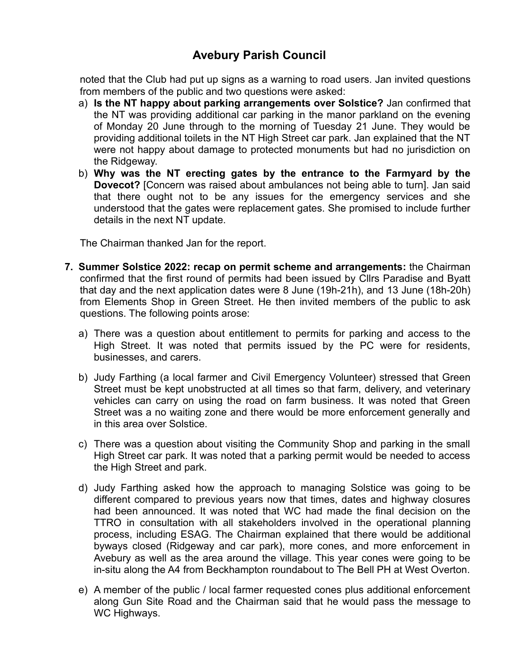noted that the Club had put up signs as a warning to road users. Jan invited questions from members of the public and two questions were asked:

- a) **Is the NT happy about parking arrangements over Solstice?** Jan confirmed that the NT was providing additional car parking in the manor parkland on the evening of Monday 20 June through to the morning of Tuesday 21 June. They would be providing additional toilets in the NT High Street car park. Jan explained that the NT were not happy about damage to protected monuments but had no jurisdiction on the Ridgeway.
- b) **Why was the NT erecting gates by the entrance to the Farmyard by the Dovecot?** [Concern was raised about ambulances not being able to turn]. Jan said that there ought not to be any issues for the emergency services and she understood that the gates were replacement gates. She promised to include further details in the next NT update.

The Chairman thanked Jan for the report.

- **7. Summer Solstice 2022: recap on permit scheme and arrangements:** the Chairman confirmed that the first round of permits had been issued by Cllrs Paradise and Byatt that day and the next application dates were 8 June (19h-21h), and 13 June (18h-20h) from Elements Shop in Green Street. He then invited members of the public to ask questions. The following points arose:
	- a) There was a question about entitlement to permits for parking and access to the High Street. It was noted that permits issued by the PC were for residents, businesses, and carers.
	- b) Judy Farthing (a local farmer and Civil Emergency Volunteer) stressed that Green Street must be kept unobstructed at all times so that farm, delivery, and veterinary vehicles can carry on using the road on farm business. It was noted that Green Street was a no waiting zone and there would be more enforcement generally and in this area over Solstice.
	- c) There was a question about visiting the Community Shop and parking in the small High Street car park. It was noted that a parking permit would be needed to access the High Street and park.
	- d) Judy Farthing asked how the approach to managing Solstice was going to be different compared to previous years now that times, dates and highway closures had been announced. It was noted that WC had made the final decision on the TTRO in consultation with all stakeholders involved in the operational planning process, including ESAG. The Chairman explained that there would be additional byways closed (Ridgeway and car park), more cones, and more enforcement in Avebury as well as the area around the village. This year cones were going to be in-situ along the A4 from Beckhampton roundabout to The Bell PH at West Overton.
	- e) A member of the public / local farmer requested cones plus additional enforcement along Gun Site Road and the Chairman said that he would pass the message to WC Highways.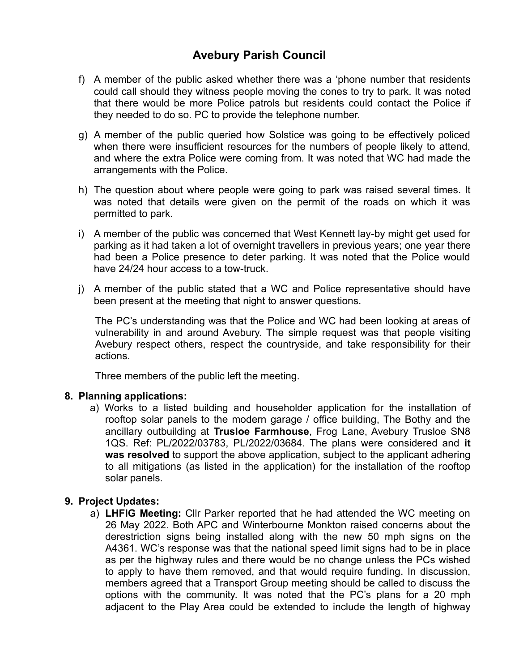- f) A member of the public asked whether there was a 'phone number that residents could call should they witness people moving the cones to try to park. It was noted that there would be more Police patrols but residents could contact the Police if they needed to do so. PC to provide the telephone number.
- g) A member of the public queried how Solstice was going to be effectively policed when there were insufficient resources for the numbers of people likely to attend, and where the extra Police were coming from. It was noted that WC had made the arrangements with the Police.
- h) The question about where people were going to park was raised several times. It was noted that details were given on the permit of the roads on which it was permitted to park.
- i) A member of the public was concerned that West Kennett lay-by might get used for parking as it had taken a lot of overnight travellers in previous years; one year there had been a Police presence to deter parking. It was noted that the Police would have 24/24 hour access to a tow-truck.
- j) A member of the public stated that a WC and Police representative should have been present at the meeting that night to answer questions.

The PC's understanding was that the Police and WC had been looking at areas of vulnerability in and around Avebury. The simple request was that people visiting Avebury respect others, respect the countryside, and take responsibility for their actions.

Three members of the public left the meeting.

### **8. Planning applications:**

a) Works to a listed building and householder application for the installation of rooftop solar panels to the modern garage / office building, The Bothy and the ancillary outbuilding at **Trusloe Farmhouse**, Frog Lane, Avebury Trusloe SN8 1QS. Ref: PL/2022/03783, PL/2022/03684. The plans were considered and **it was resolved** to support the above application, subject to the applicant adhering to all mitigations (as listed in the application) for the installation of the rooftop solar panels.

### **9. Project Updates:**

a) **LHFIG Meeting:** Cllr Parker reported that he had attended the WC meeting on 26 May 2022. Both APC and Winterbourne Monkton raised concerns about the derestriction signs being installed along with the new 50 mph signs on the A4361. WC's response was that the national speed limit signs had to be in place as per the highway rules and there would be no change unless the PCs wished to apply to have them removed, and that would require funding. In discussion, members agreed that a Transport Group meeting should be called to discuss the options with the community. It was noted that the PC's plans for a 20 mph adjacent to the Play Area could be extended to include the length of highway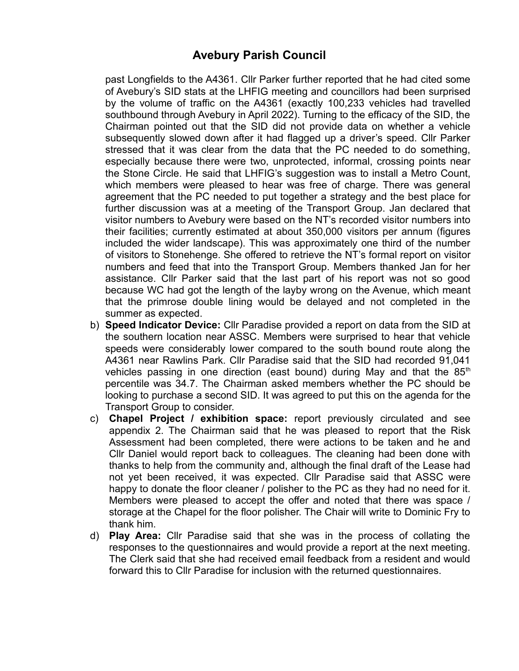past Longfields to the A4361. Cllr Parker further reported that he had cited some of Avebury's SID stats at the LHFIG meeting and councillors had been surprised by the volume of traffic on the A4361 (exactly 100,233 vehicles had travelled southbound through Avebury in April 2022). Turning to the efficacy of the SID, the Chairman pointed out that the SID did not provide data on whether a vehicle subsequently slowed down after it had flagged up a driver's speed. Cllr Parker stressed that it was clear from the data that the PC needed to do something, especially because there were two, unprotected, informal, crossing points near the Stone Circle. He said that LHFIG's suggestion was to install a Metro Count, which members were pleased to hear was free of charge. There was general agreement that the PC needed to put together a strategy and the best place for further discussion was at a meeting of the Transport Group. Jan declared that visitor numbers to Avebury were based on the NT's recorded visitor numbers into their facilities; currently estimated at about 350,000 visitors per annum (figures included the wider landscape). This was approximately one third of the number of visitors to Stonehenge. She offered to retrieve the NT's formal report on visitor numbers and feed that into the Transport Group. Members thanked Jan for her assistance. Cllr Parker said that the last part of his report was not so good because WC had got the length of the layby wrong on the Avenue, which meant that the primrose double lining would be delayed and not completed in the summer as expected.

- b) **Speed Indicator Device:** Cllr Paradise provided a report on data from the SID at the southern location near ASSC. Members were surprised to hear that vehicle speeds were considerably lower compared to the south bound route along the A4361 near Rawlins Park. Cllr Paradise said that the SID had recorded 91,041 vehicles passing in one direction (east bound) during May and that the  $85<sup>th</sup>$ percentile was 34.7. The Chairman asked members whether the PC should be looking to purchase a second SID. It was agreed to put this on the agenda for the Transport Group to consider.
- c) **Chapel Project / exhibition space:** report previously circulated and see appendix 2. The Chairman said that he was pleased to report that the Risk Assessment had been completed, there were actions to be taken and he and Cllr Daniel would report back to colleagues. The cleaning had been done with thanks to help from the community and, although the final draft of the Lease had not yet been received, it was expected. Cllr Paradise said that ASSC were happy to donate the floor cleaner / polisher to the PC as they had no need for it. Members were pleased to accept the offer and noted that there was space / storage at the Chapel for the floor polisher. The Chair will write to Dominic Fry to thank him.
- d) **Play Area:** Cllr Paradise said that she was in the process of collating the responses to the questionnaires and would provide a report at the next meeting. The Clerk said that she had received email feedback from a resident and would forward this to Cllr Paradise for inclusion with the returned questionnaires.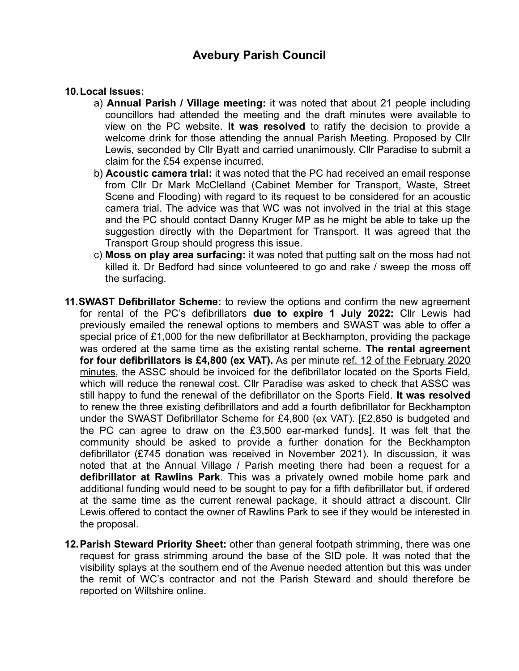#### **10.Local Issues:**

- a) **Annual Parish / Village meeting:** it was noted that about 21 people including councillors had attended the meeting and the draft minutes were available to view on the PC website. **It was resolved** to ratify the decision to provide a welcome drink for those attending the annual Parish Meeting. Proposed by Cllr Lewis, seconded by Cllr Byatt and carried unanimously. Cllr Paradise to submit a claim for the £54 expense incurred.
- b) **Acoustic camera trial:** it was noted that the PC had received an email response from Cllr Dr Mark McClelland (Cabinet Member for Transport, Waste, Street Scene and Flooding) with regard to its request to be considered for an acoustic camera trial. The advice was that WC was not involved in the trial at this stage and the PC should contact Danny Kruger MP as he might be able to take up the suggestion directly with the Department for Transport. It was agreed that the Transport Group should progress this issue.
- c) **Moss on play area surfacing:** it was noted that putting salt on the moss had not killed it. Dr Bedford had since volunteered to go and rake / sweep the moss off the surfacing.
- **11.SWAST Defibrillator Scheme:** to review the options and confirm the new agreement for rental of the PC's defibrillators **due to expire 1 July 2022:** Cllr Lewis had previously emailed the renewal options to members and SWAST was able to offer a special price of £1,000 for the new defibrillator at Beckhampton, providing the package was ordered at the same time as the existing rental scheme. **The rental agreement for four defibrillators is £4,800 (ex VAT).** As per minute ref. 12 of the February 2020 minutes, the ASSC should be invoiced for the defibrillator located on the Sports Field, which will reduce the renewal cost. Cllr Paradise was asked to check that ASSC was still happy to fund the renewal of the defibrillator on the Sports Field. **It was resolved** to renew the three existing defibrillators and add a fourth defibrillator for Beckhampton under the SWAST Defibrillator Scheme for £4,800 (ex VAT). [£2,850 is budgeted and the PC can agree to draw on the £3,500 ear-marked funds]. It was felt that the community should be asked to provide a further donation for the Beckhampton defibrillator (£745 donation was received in November 2021). In discussion, it was noted that at the Annual Village / Parish meeting there had been a request for a **defibrillator at Rawlins Park**. This was a privately owned mobile home park and additional funding would need to be sought to pay for a fifth defibrillator but, if ordered at the same time as the current renewal package, it should attract a discount. Cllr Lewis offered to contact the owner of Rawlins Park to see if they would be interested in the proposal.
- **12.Parish Steward Priority Sheet:** other than general footpath strimming, there was one request for grass strimming around the base of the SID pole. It was noted that the visibility splays at the southern end of the Avenue needed attention but this was under the remit of WC's contractor and not the Parish Steward and should therefore be reported on Wiltshire online.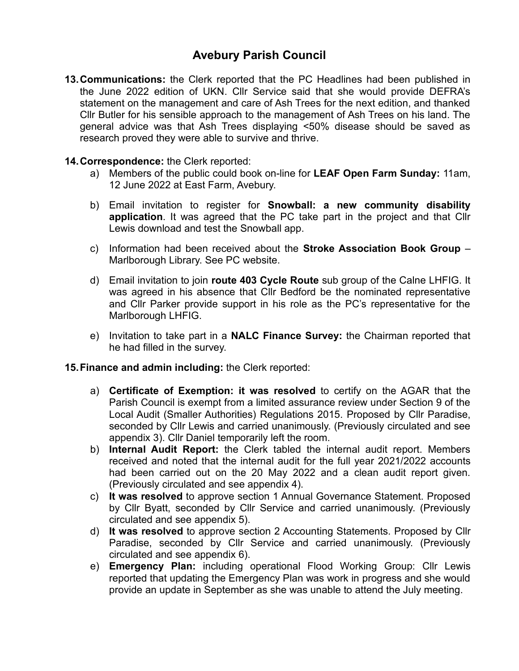**13.Communications:** the Clerk reported that the PC Headlines had been published in the June 2022 edition of UKN. Cllr Service said that she would provide DEFRA's statement on the management and care of Ash Trees for the next edition, and thanked Cllr Butler for his sensible approach to the management of Ash Trees on his land. The general advice was that Ash Trees displaying <50% disease should be saved as research proved they were able to survive and thrive.

#### **14.Correspondence:** the Clerk reported:

- a) Members of the public could book on-line for **LEAF Open Farm Sunday:** 11am, 12 June 2022 at East Farm, Avebury.
- b) Email invitation to register for **Snowball: a new community disability application**. It was agreed that the PC take part in the project and that Cllr Lewis download and test the Snowball app.
- c) Information had been received about the **Stroke Association Book Group** Marlborough Library. See PC website.
- d) Email invitation to join **route 403 Cycle Route** sub group of the Calne LHFIG. It was agreed in his absence that Cllr Bedford be the nominated representative and Cllr Parker provide support in his role as the PC's representative for the Marlborough LHFIG.
- e) Invitation to take part in a **NALC Finance Survey:** the Chairman reported that he had filled in the survey.

#### **15.Finance and admin including:** the Clerk reported:

- a) **Certificate of Exemption: it was resolved** to certify on the AGAR that the Parish Council is exempt from a limited assurance review under Section 9 of the Local Audit (Smaller Authorities) Regulations 2015. Proposed by Cllr Paradise, seconded by Cllr Lewis and carried unanimously. (Previously circulated and see appendix 3). Cllr Daniel temporarily left the room.
- b) **Internal Audit Report:** the Clerk tabled the internal audit report. Members received and noted that the internal audit for the full year 2021/2022 accounts had been carried out on the 20 May 2022 and a clean audit report given. (Previously circulated and see appendix 4).
- c) **It was resolved** to approve section 1 Annual Governance Statement. Proposed by Cllr Byatt, seconded by Cllr Service and carried unanimously. (Previously circulated and see appendix 5).
- d) **It was resolved** to approve section 2 Accounting Statements. Proposed by Cllr Paradise, seconded by Cllr Service and carried unanimously. (Previously circulated and see appendix 6).
- e) **Emergency Plan:** including operational Flood Working Group: Cllr Lewis reported that updating the Emergency Plan was work in progress and she would provide an update in September as she was unable to attend the July meeting.